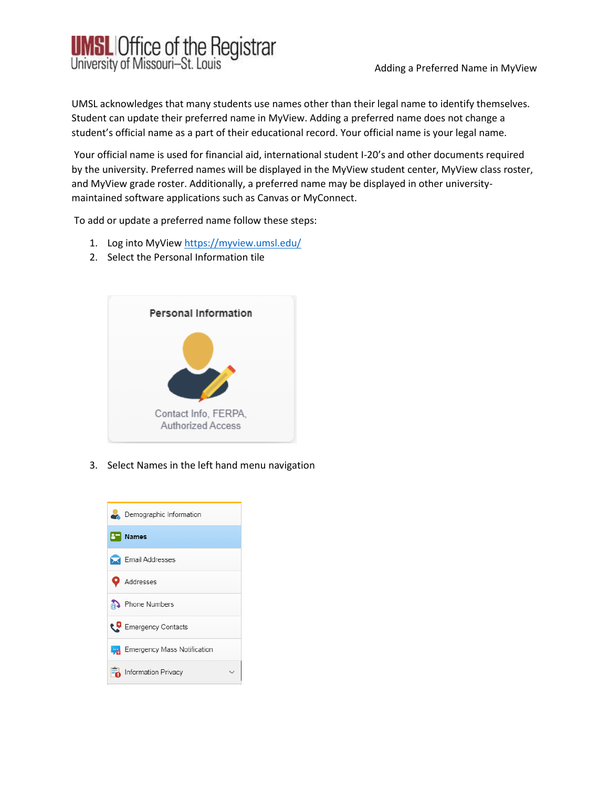

UMSL acknowledges that many students use names other than their legal name to identify themselves. Student can update their preferred name in MyView. Adding a preferred name does not change a student's official name as a part of their educational record. Your official name is your legal name.

Your official name is used for financial aid, international student I-20's and other documents required by the university. Preferred names will be displayed in the MyView student center, MyView class roster, and MyView grade roster. Additionally, a preferred name may be displayed in other universitymaintained software applications such as Canvas or MyConnect.

To add or update a preferred name follow these steps:

- 1. Log into MyView <https://myview.umsl.edu/>
- 2. Select the Personal Information tile



3. Select Names in the left hand menu navigation